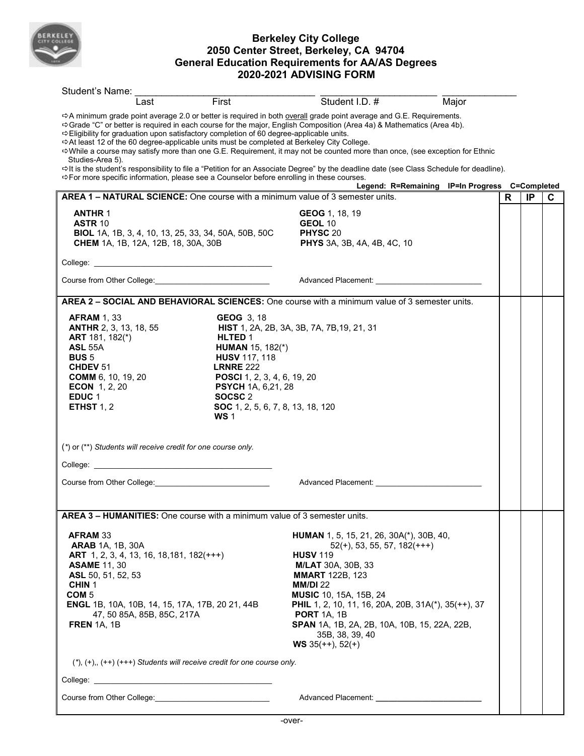

## **Berkeley City College 2050 Center Street, Berkeley, CA 94704 General Education Requirements for AA/AS Degrees 2020-2021 ADVISING FORM**

| Student's Name:                                                                                                                                        |                                                                                                                                                                                                                                                                                                                                                                                |                                                                                                                                                                                                     |                                                                                                                                                                                                                                                                                                                                                                                                          |       |    |    |   |  |  |  |
|--------------------------------------------------------------------------------------------------------------------------------------------------------|--------------------------------------------------------------------------------------------------------------------------------------------------------------------------------------------------------------------------------------------------------------------------------------------------------------------------------------------------------------------------------|-----------------------------------------------------------------------------------------------------------------------------------------------------------------------------------------------------|----------------------------------------------------------------------------------------------------------------------------------------------------------------------------------------------------------------------------------------------------------------------------------------------------------------------------------------------------------------------------------------------------------|-------|----|----|---|--|--|--|
|                                                                                                                                                        | Last                                                                                                                                                                                                                                                                                                                                                                           | First                                                                                                                                                                                               | Student I.D. #                                                                                                                                                                                                                                                                                                                                                                                           | Major |    |    |   |  |  |  |
| Studies-Area 5).                                                                                                                                       |                                                                                                                                                                                                                                                                                                                                                                                | o Eligibility for graduation upon satisfactory completion of 60 degree-applicable units.<br>$\Rightarrow$ At least 12 of the 60 degree-applicable units must be completed at Berkeley City College. | → A minimum grade point average 2.0 or better is required in both overall grade point average and G.E. Requirements.<br>Scrade "C" or better is required in each course for the major, English Composition (Area 4a) & Mathematics (Area 4b).<br>⇔While a course may satisfy more than one G.E. Requirement, it may not be counted more than once, (see exception for Ethnic                             |       |    |    |   |  |  |  |
|                                                                                                                                                        |                                                                                                                                                                                                                                                                                                                                                                                | ⇒For more specific information, please see a Counselor before enrolling in these courses.                                                                                                           | ⇔It is the student's responsibility to file a "Petition for an Associate Degree" by the deadline date (see Class Schedule for deadline).<br>Legend: R=Remaining IP=In Progress C=Completed                                                                                                                                                                                                               |       |    |    |   |  |  |  |
|                                                                                                                                                        |                                                                                                                                                                                                                                                                                                                                                                                |                                                                                                                                                                                                     | AREA 1 - NATURAL SCIENCE: One course with a minimum value of 3 semester units.                                                                                                                                                                                                                                                                                                                           |       | R. | IP | C |  |  |  |
| <b>ANTHR 1</b><br><b>ASTR 10</b>                                                                                                                       | <b>BIOL</b> 1A, 1B, 3, 4, 10, 13, 25, 33, 34, 50A, 50B, 50C<br><b>CHEM</b> 1A, 1B, 12A, 12B, 18, 30A, 30B                                                                                                                                                                                                                                                                      |                                                                                                                                                                                                     | GEOG 1, 18, 19<br>GEOL 10<br>PHYSC <sub>20</sub><br><b>PHYS</b> 3A, 3B, 4A, 4B, 4C, 10                                                                                                                                                                                                                                                                                                                   |       |    |    |   |  |  |  |
|                                                                                                                                                        |                                                                                                                                                                                                                                                                                                                                                                                |                                                                                                                                                                                                     |                                                                                                                                                                                                                                                                                                                                                                                                          |       |    |    |   |  |  |  |
|                                                                                                                                                        |                                                                                                                                                                                                                                                                                                                                                                                |                                                                                                                                                                                                     |                                                                                                                                                                                                                                                                                                                                                                                                          |       |    |    |   |  |  |  |
| AREA 2 - SOCIAL AND BEHAVIORAL SCIENCES: One course with a minimum value of 3 semester units.                                                          |                                                                                                                                                                                                                                                                                                                                                                                |                                                                                                                                                                                                     |                                                                                                                                                                                                                                                                                                                                                                                                          |       |    |    |   |  |  |  |
| <b>AFRAM 1, 33</b><br><b>ASL 55A</b><br><b>BUS 5</b><br>CHDEV 51<br><b>ECON</b> 1, 2, 20<br>EDUC <sub>1</sub><br>ETHST $1, 2$                          | <b>GEOG 3, 18</b><br>HIST 1, 2A, 2B, 3A, 3B, 7A, 7B, 19, 21, 31<br><b>ANTHR</b> 2, 3, 13, 18, 55<br>ART 181, 182(*)<br>HLTED 1<br><b>HUMAN</b> 15, 182(*)<br><b>HUSV 117, 118</b><br><b>LRNRE 222</b><br>POSCI 1, 2, 3, 4, 6, 19, 20<br><b>COMM</b> 6, 10, 19, 20<br><b>PSYCH</b> 1A, 6,21, 28<br>SOCSC <sub>2</sub><br><b>SOC</b> 1, 2, 5, 6, 7, 8, 13, 18, 120<br><b>WS1</b> |                                                                                                                                                                                                     |                                                                                                                                                                                                                                                                                                                                                                                                          |       |    |    |   |  |  |  |
|                                                                                                                                                        | (*) or (**) Students will receive credit for one course only.                                                                                                                                                                                                                                                                                                                  |                                                                                                                                                                                                     |                                                                                                                                                                                                                                                                                                                                                                                                          |       |    |    |   |  |  |  |
|                                                                                                                                                        | College: <u>www.college.collections</u>                                                                                                                                                                                                                                                                                                                                        |                                                                                                                                                                                                     |                                                                                                                                                                                                                                                                                                                                                                                                          |       |    |    |   |  |  |  |
|                                                                                                                                                        | Course from Other College: <u>contained a series of the series of the series of the series of the series of the series of the series of the series of the series of the series of the series of the series of the series of the </u>                                                                                                                                           |                                                                                                                                                                                                     | Advanced Placement: Andrew Placement                                                                                                                                                                                                                                                                                                                                                                     |       |    |    |   |  |  |  |
| <b>AREA 3 – HUMANITIES:</b> One course with a minimum value of 3 semester units.                                                                       |                                                                                                                                                                                                                                                                                                                                                                                |                                                                                                                                                                                                     |                                                                                                                                                                                                                                                                                                                                                                                                          |       |    |    |   |  |  |  |
| <b>AFRAM 33</b><br><b>ARAB</b> 1A, 1B, 30A<br><b>ASAME</b> 11, 30<br>ASL 50, 51, 52, 53<br>CHIN <sub>1</sub><br>COM <sub>5</sub><br><b>FREN</b> 1A, 1B | ART 1, 2, 3, 4, 13, 16, 18, 181, 182(+++)<br><b>ENGL</b> 1B, 10A, 10B, 14, 15, 17A, 17B, 20 21, 44B<br>47, 50 85A, 85B, 85C, 217A                                                                                                                                                                                                                                              |                                                                                                                                                                                                     | <b>HUMAN</b> 1, 5, 15, 21, 26, 30A(*), 30B, 40,<br>$52(+)$ , 53, 55, 57, 182(+++)<br><b>HUSV 119</b><br><b>M/LAT</b> 30A, 30B, 33<br><b>MMART</b> 122B, 123<br><b>MM/DI 22</b><br><b>MUSIC</b> 10, 15A, 15B, 24<br><b>PHIL</b> 1, 2, 10, 11, 16, 20A, 20B, 31A(*), 35(++), 37<br><b>PORT</b> 1A, 1B<br><b>SPAN</b> 1A, 1B, 2A, 2B, 10A, 10B, 15, 22A, 22B,<br>35B, 38, 39, 40<br><b>WS</b> 35(++), 52(+) |       |    |    |   |  |  |  |
|                                                                                                                                                        |                                                                                                                                                                                                                                                                                                                                                                                | $(*), (+), (++)$ (+++) Students will receive credit for one course only.                                                                                                                            |                                                                                                                                                                                                                                                                                                                                                                                                          |       |    |    |   |  |  |  |
|                                                                                                                                                        |                                                                                                                                                                                                                                                                                                                                                                                |                                                                                                                                                                                                     |                                                                                                                                                                                                                                                                                                                                                                                                          |       |    |    |   |  |  |  |
|                                                                                                                                                        |                                                                                                                                                                                                                                                                                                                                                                                |                                                                                                                                                                                                     |                                                                                                                                                                                                                                                                                                                                                                                                          |       |    |    |   |  |  |  |